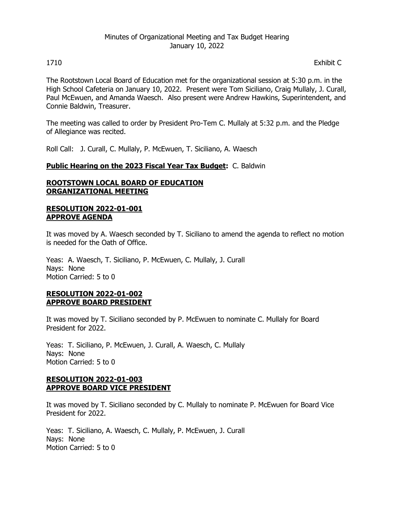1710 Exhibit C

The Rootstown Local Board of Education met for the organizational session at 5:30 p.m. in the High School Cafeteria on January 10, 2022. Present were Tom Siciliano, Craig Mullaly, J. Curall, Paul McEwuen, and Amanda Waesch. Also present were Andrew Hawkins, Superintendent, and Connie Baldwin, Treasurer.

The meeting was called to order by President Pro-Tem C. Mullaly at 5:32 p.m. and the Pledge of Allegiance was recited.

Roll Call: J. Curall, C. Mullaly, P. McEwuen, T. Siciliano, A. Waesch

# **Public Hearing on the 2023 Fiscal Year Tax Budget:** C. Baldwin

# **ROOTSTOWN LOCAL BOARD OF EDUCATION ORGANIZATIONAL MEETING**

### **RESOLUTION 2022-01-001 APPROVE AGENDA**

It was moved by A. Waesch seconded by T. Siciliano to amend the agenda to reflect no motion is needed for the Oath of Office.

Yeas: A. Waesch, T. Siciliano, P. McEwuen, C. Mullaly, J. Curall Nays: None Motion Carried: 5 to 0

## **RESOLUTION 2022-01-002 APPROVE BOARD PRESIDENT**

It was moved by T. Siciliano seconded by P. McEwuen to nominate C. Mullaly for Board President for 2022.

Yeas: T. Siciliano, P. McEwuen, J. Curall, A. Waesch, C. Mullaly Nays: None Motion Carried: 5 to 0

# **RESOLUTION 2022-01-003 APPROVE BOARD VICE PRESIDENT**

It was moved by T. Siciliano seconded by C. Mullaly to nominate P. McEwuen for Board Vice President for 2022.

Yeas: T. Siciliano, A. Waesch, C. Mullaly, P. McEwuen, J. Curall Nays: None Motion Carried: 5 to 0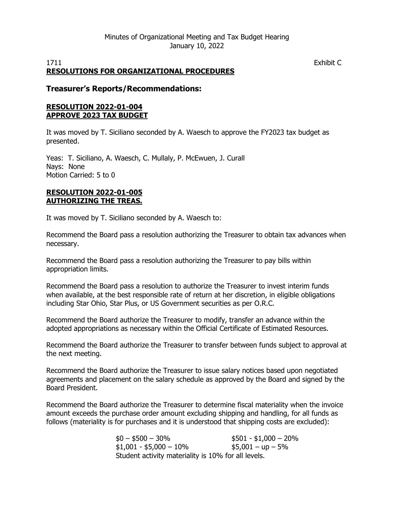# 1711 Exhibit C **RESOLUTIONS FOR ORGANIZATIONAL PROCEDURES**

# **Treasurer's Reports/Recommendations:**

# **RESOLUTION 2022-01-004 APPROVE 2023 TAX BUDGET**

It was moved by T. Siciliano seconded by A. Waesch to approve the FY2023 tax budget as presented.

Yeas: T. Siciliano, A. Waesch, C. Mullaly, P. McEwuen, J. Curall Nays: None Motion Carried: 5 to 0

## **RESOLUTION 2022-01-005 AUTHORIZING THE TREAS.**

It was moved by T. Siciliano seconded by A. Waesch to:

Recommend the Board pass a resolution authorizing the Treasurer to obtain tax advances when necessary.

Recommend the Board pass a resolution authorizing the Treasurer to pay bills within appropriation limits.

Recommend the Board pass a resolution to authorize the Treasurer to invest interim funds when available, at the best responsible rate of return at her discretion, in eligible obligations including Star Ohio, Star Plus, or US Government securities as per O.R.C.

Recommend the Board authorize the Treasurer to modify, transfer an advance within the adopted appropriations as necessary within the Official Certificate of Estimated Resources.

Recommend the Board authorize the Treasurer to transfer between funds subject to approval at the next meeting.

Recommend the Board authorize the Treasurer to issue salary notices based upon negotiated agreements and placement on the salary schedule as approved by the Board and signed by the Board President.

Recommend the Board authorize the Treasurer to determine fiscal materiality when the invoice amount exceeds the purchase order amount excluding shipping and handling, for all funds as follows (materiality is for purchases and it is understood that shipping costs are excluded):

> $$0 - $500 - 30\%$  \$501 - \$1,000 - 20%  $$1,001 - $5,000 - 10\%$   $$5,001 - up - 5\%$ Student activity materiality is 10% for all levels.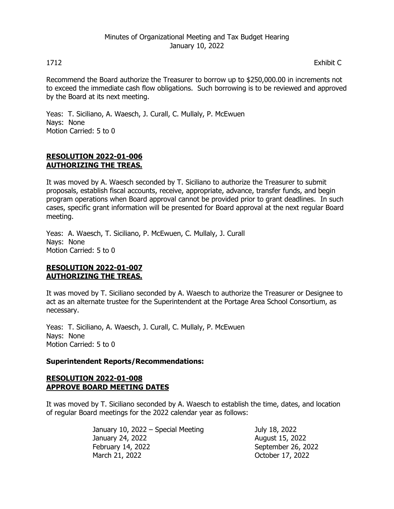1712 Exhibit C

Recommend the Board authorize the Treasurer to borrow up to \$250,000.00 in increments not to exceed the immediate cash flow obligations. Such borrowing is to be reviewed and approved by the Board at its next meeting.

Yeas: T. Siciliano, A. Waesch, J. Curall, C. Mullaly, P. McEwuen Nays: None Motion Carried: 5 to 0

### **RESOLUTION 2022-01-006 AUTHORIZING THE TREAS.**

It was moved by A. Waesch seconded by T. Siciliano to authorize the Treasurer to submit proposals, establish fiscal accounts, receive, appropriate, advance, transfer funds, and begin program operations when Board approval cannot be provided prior to grant deadlines. In such cases, specific grant information will be presented for Board approval at the next regular Board meeting.

Yeas: A. Waesch, T. Siciliano, P. McEwuen, C. Mullaly, J. Curall Nays: None Motion Carried: 5 to 0

# **RESOLUTION 2022-01-007 AUTHORIZING THE TREAS.**

It was moved by T. Siciliano seconded by A. Waesch to authorize the Treasurer or Designee to act as an alternate trustee for the Superintendent at the Portage Area School Consortium, as necessary.

Yeas: T. Siciliano, A. Waesch, J. Curall, C. Mullaly, P. McEwuen Nays: None Motion Carried: 5 to 0

## **Superintendent Reports/Recommendations:**

## **RESOLUTION 2022-01-008 APPROVE BOARD MEETING DATES**

It was moved by T. Siciliano seconded by A. Waesch to establish the time, dates, and location of regular Board meetings for the 2022 calendar year as follows:

> January 10, 2022 – Special Meeting July 18, 2022 January 24, 2022 August 15, 2022 February 14, 2022 **September 26, 2022** March 21, 2022 October 17, 2022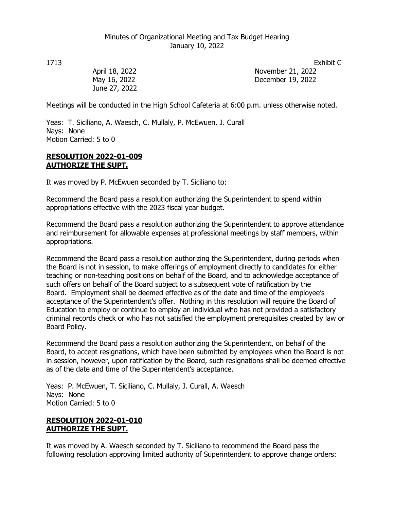June 27, 2022

April 18, 2022 November 21, 2022 May 16, 2022 December 19, 2022

Meetings will be conducted in the High School Cafeteria at 6:00 p.m. unless otherwise noted.

Yeas: T. Siciliano, A. Waesch, C. Mullaly, P. McEwuen, J. Curall Nays: None Motion Carried: 5 to 0

### **RESOLUTION 2022-01-009 AUTHORIZE THE SUPT.**

It was moved by P. McEwuen seconded by T. Siciliano to:

Recommend the Board pass a resolution authorizing the Superintendent to spend within appropriations effective with the 2023 fiscal year budget.

Recommend the Board pass a resolution authorizing the Superintendent to approve attendance and reimbursement for allowable expenses at professional meetings by staff members, within appropriations.

Recommend the Board pass a resolution authorizing the Superintendent, during periods when the Board is not in session, to make offerings of employment directly to candidates for either teaching or non-teaching positions on behalf of the Board, and to acknowledge acceptance of such offers on behalf of the Board subject to a subsequent vote of ratification by the Board. Employment shall be deemed effective as of the date and time of the employee's acceptance of the Superintendent's offer. Nothing in this resolution will require the Board of Education to employ or continue to employ an individual who has not provided a satisfactory criminal records check or who has not satisfied the employment prerequisites created by law or Board Policy.

Recommend the Board pass a resolution authorizing the Superintendent, on behalf of the Board, to accept resignations, which have been submitted by employees when the Board is not in session, however, upon ratification by the Board, such resignations shall be deemed effective as of the date and time of the Superintendent's acceptance.

Yeas: P. McEwuen, T. Siciliano, C. Mullaly, J. Curall, A. Waesch Nays: None Motion Carried: 5 to 0

## **RESOLUTION 2022-01-010 AUTHORIZE THE SUPT.**

It was moved by A. Waesch seconded by T. Siciliano to recommend the Board pass the following resolution approving limited authority of Superintendent to approve change orders:

1713 Exhibit C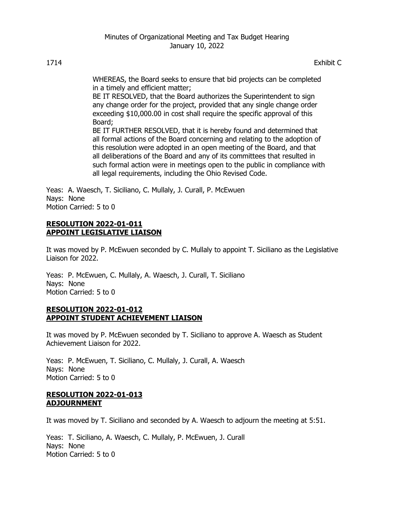WHEREAS, the Board seeks to ensure that bid projects can be completed in a timely and efficient matter;

BE IT RESOLVED, that the Board authorizes the Superintendent to sign any change order for the project, provided that any single change order exceeding \$10,000.00 in cost shall require the specific approval of this Board;

BE IT FURTHER RESOLVED, that it is hereby found and determined that all formal actions of the Board concerning and relating to the adoption of this resolution were adopted in an open meeting of the Board, and that all deliberations of the Board and any of its committees that resulted in such formal action were in meetings open to the public in compliance with all legal requirements, including the Ohio Revised Code.

Yeas: A. Waesch, T. Siciliano, C. Mullaly, J. Curall, P. McEwuen Nays: None Motion Carried: 5 to 0

# **RESOLUTION 2022-01-011 APPOINT LEGISLATIVE LIAISON**

It was moved by P. McEwuen seconded by C. Mullaly to appoint T. Siciliano as the Legislative Liaison for 2022.

Yeas: P. McEwuen, C. Mullaly, A. Waesch, J. Curall, T. Siciliano Nays: None Motion Carried: 5 to 0

# **RESOLUTION 2022-01-012 APPOINT STUDENT ACHIEVEMENT LIAISON**

It was moved by P. McEwuen seconded by T. Siciliano to approve A. Waesch as Student Achievement Liaison for 2022.

Yeas: P. McEwuen, T. Siciliano, C. Mullaly, J. Curall, A. Waesch Nays: None Motion Carried: 5 to 0

# **RESOLUTION 2022-01-013 ADJOURNMENT**

It was moved by T. Siciliano and seconded by A. Waesch to adjourn the meeting at 5:51.

Yeas: T. Siciliano, A. Waesch, C. Mullaly, P. McEwuen, J. Curall Nays: None Motion Carried: 5 to 0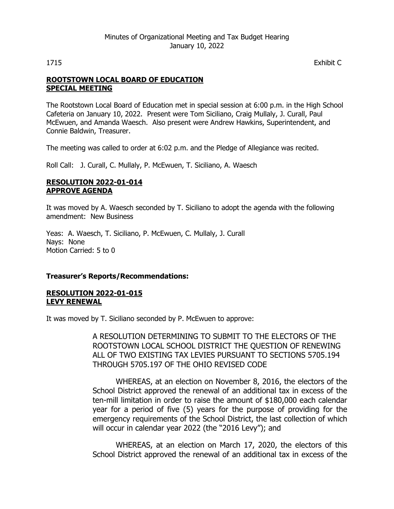1715 Exhibit C

# **ROOTSTOWN LOCAL BOARD OF EDUCATION SPECIAL MEETING**

The Rootstown Local Board of Education met in special session at 6:00 p.m. in the High School Cafeteria on January 10, 2022. Present were Tom Siciliano, Craig Mullaly, J. Curall, Paul McEwuen, and Amanda Waesch. Also present were Andrew Hawkins, Superintendent, and Connie Baldwin, Treasurer.

The meeting was called to order at 6:02 p.m. and the Pledge of Allegiance was recited.

Roll Call: J. Curall, C. Mullaly, P. McEwuen, T. Siciliano, A. Waesch

# **RESOLUTION 2022-01-014 APPROVE AGENDA**

It was moved by A. Waesch seconded by T. Siciliano to adopt the agenda with the following amendment: New Business

Yeas: A. Waesch, T. Siciliano, P. McEwuen, C. Mullaly, J. Curall Nays: None Motion Carried: 5 to 0

## **Treasurer's Reports/Recommendations:**

## **RESOLUTION 2022-01-015 LEVY RENEWAL**

It was moved by T. Siciliano seconded by P. McEwuen to approve:

A RESOLUTION DETERMINING TO SUBMIT TO THE ELECTORS OF THE ROOTSTOWN LOCAL SCHOOL DISTRICT THE QUESTION OF RENEWING ALL OF TWO EXISTING TAX LEVIES PURSUANT TO SECTIONS 5705.194 THROUGH 5705.197 OF THE OHIO REVISED CODE

WHEREAS, at an election on November 8, 2016, the electors of the School District approved the renewal of an additional tax in excess of the ten-mill limitation in order to raise the amount of \$180,000 each calendar year for a period of five (5) years for the purpose of providing for the emergency requirements of the School District, the last collection of which will occur in calendar year 2022 (the "2016 Levy"); and

WHEREAS, at an election on March 17, 2020, the electors of this School District approved the renewal of an additional tax in excess of the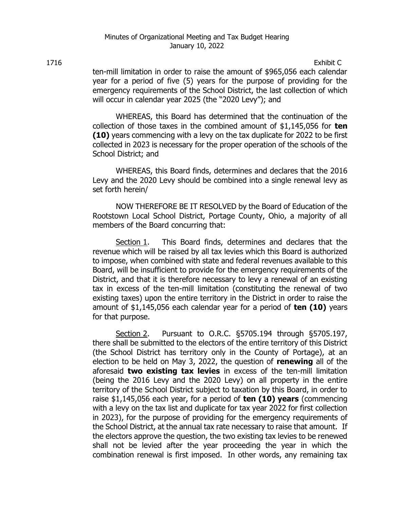will occur in calendar year 2025 (the "2020 Levy"); and

1716 Exhibit C ten-mill limitation in order to raise the amount of \$965,056 each calendar year for a period of five (5) years for the purpose of providing for the emergency requirements of the School District, the last collection of which

> WHEREAS, this Board has determined that the continuation of the collection of those taxes in the combined amount of \$1,145,056 for **ten (10)** years commencing with a levy on the tax duplicate for 2022 to be first collected in 2023 is necessary for the proper operation of the schools of the School District; and

> WHEREAS, this Board finds, determines and declares that the 2016 Levy and the 2020 Levy should be combined into a single renewal levy as set forth herein/

> NOW THEREFORE BE IT RESOLVED by the Board of Education of the Rootstown Local School District, Portage County, Ohio, a majority of all members of the Board concurring that:

> Section 1. This Board finds, determines and declares that the revenue which will be raised by all tax levies which this Board is authorized to impose, when combined with state and federal revenues available to this Board, will be insufficient to provide for the emergency requirements of the District, and that it is therefore necessary to levy a renewal of an existing tax in excess of the ten-mill limitation (constituting the renewal of two existing taxes) upon the entire territory in the District in order to raise the amount of \$1,145,056 each calendar year for a period of **ten (10)** years for that purpose.

> Section 2. Pursuant to O.R.C. §5705.194 through §5705.197, there shall be submitted to the electors of the entire territory of this District (the School District has territory only in the County of Portage), at an election to be held on May 3, 2022, the question of **renewing** all of the aforesaid **two existing tax levies** in excess of the ten-mill limitation (being the 2016 Levy and the 2020 Levy) on all property in the entire territory of the School District subject to taxation by this Board, in order to raise \$1,145,056 each year, for a period of **ten (10) years** (commencing with a levy on the tax list and duplicate for tax year 2022 for first collection in 2023), for the purpose of providing for the emergency requirements of the School District, at the annual tax rate necessary to raise that amount. If the electors approve the question, the two existing tax levies to be renewed shall not be levied after the year proceeding the year in which the combination renewal is first imposed. In other words, any remaining tax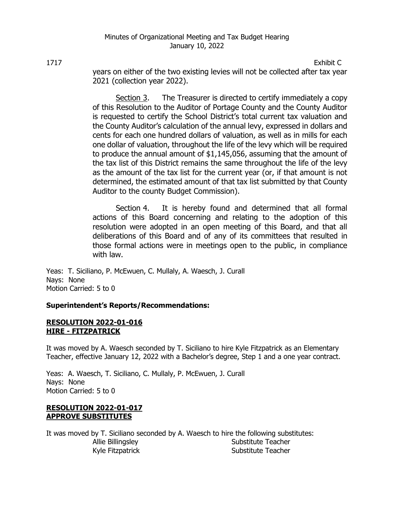1717 Exhibit C years on either of the two existing levies will not be collected after tax year 2021 (collection year 2022).

> Section 3. The Treasurer is directed to certify immediately a copy of this Resolution to the Auditor of Portage County and the County Auditor is requested to certify the School District's total current tax valuation and the County Auditor's calculation of the annual levy, expressed in dollars and cents for each one hundred dollars of valuation, as well as in mills for each one dollar of valuation, throughout the life of the levy which will be required to produce the annual amount of \$1,145,056, assuming that the amount of the tax list of this District remains the same throughout the life of the levy as the amount of the tax list for the current year (or, if that amount is not determined, the estimated amount of that tax list submitted by that County Auditor to the county Budget Commission).

> Section 4. It is hereby found and determined that all formal actions of this Board concerning and relating to the adoption of this resolution were adopted in an open meeting of this Board, and that all deliberations of this Board and of any of its committees that resulted in those formal actions were in meetings open to the public, in compliance with law.

Yeas: T. Siciliano, P. McEwuen, C. Mullaly, A. Waesch, J. Curall Nays: None Motion Carried: 5 to 0

# **Superintendent's Reports/Recommendations:**

# **RESOLUTION 2022-01-016 HIRE - FITZPATRICK**

It was moved by A. Waesch seconded by T. Siciliano to hire Kyle Fitzpatrick as an Elementary Teacher, effective January 12, 2022 with a Bachelor's degree, Step 1 and a one year contract.

Yeas: A. Waesch, T. Siciliano, C. Mullaly, P. McEwuen, J. Curall Nays: None Motion Carried: 5 to 0

# **RESOLUTION 2022-01-017 APPROVE SUBSTITUTES**

It was moved by T. Siciliano seconded by A. Waesch to hire the following substitutes: Allie Billingsley **Substitute Teacher** Kyle Fitzpatrick Substitute Teacher